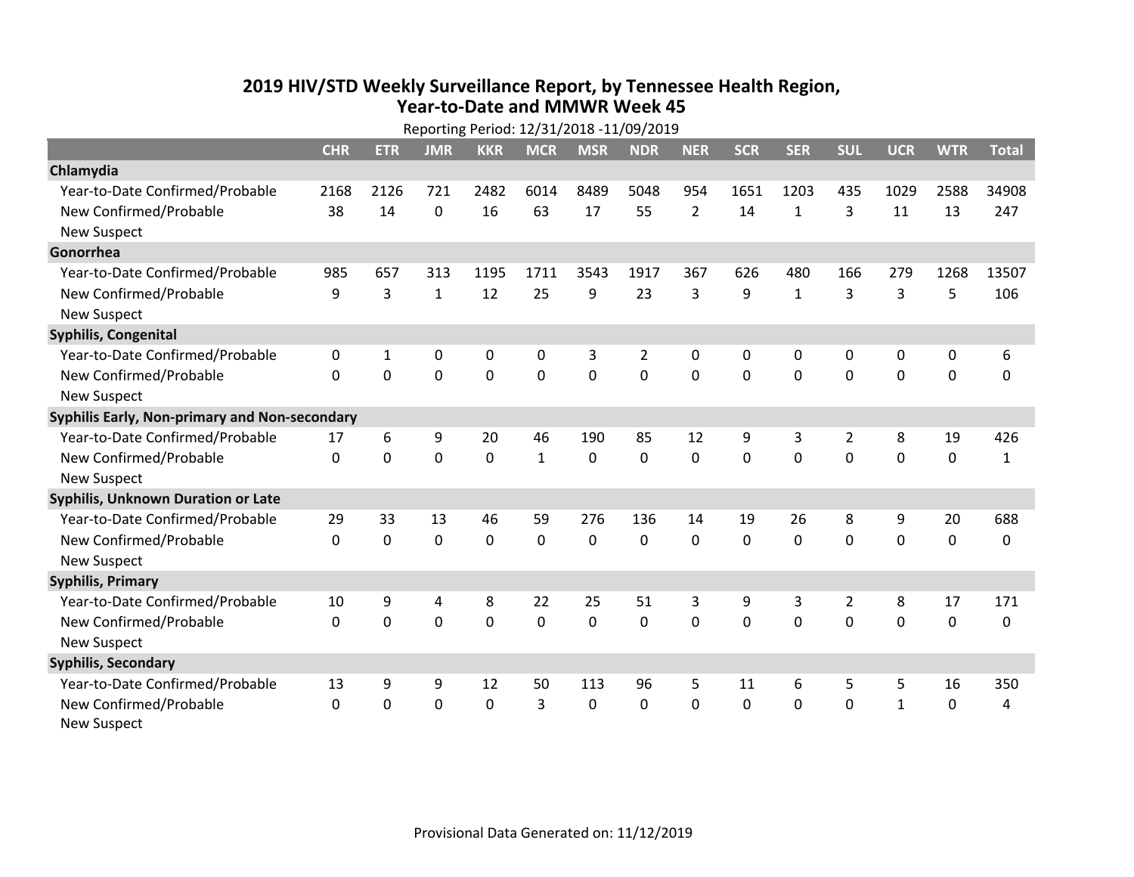## **2019 HIV /STD Weekly Surveillance Report, by Tennessee Health Region, Year‐to‐Date and MMWR Week 45** Reporting Period: 12/31/2018 ‐11/09/2019

|                                               | Reporting Period: 12/31/2018 -11/09/2019 |             |              |                |              |                |                |                |              |              |                |              |             |              |
|-----------------------------------------------|------------------------------------------|-------------|--------------|----------------|--------------|----------------|----------------|----------------|--------------|--------------|----------------|--------------|-------------|--------------|
|                                               | <b>CHR</b>                               | <b>ETR</b>  | <b>JMR</b>   | <b>KKR</b>     | <b>MCR</b>   | <b>MSR</b>     | <b>NDR</b>     | <b>NER</b>     | <b>SCR</b>   | <b>SER</b>   | <b>SUL</b>     | <b>UCR</b>   | <b>WTR</b>  | <b>Total</b> |
| Chlamydia                                     |                                          |             |              |                |              |                |                |                |              |              |                |              |             |              |
| Year-to-Date Confirmed/Probable               | 2168                                     | 2126        | 721          | 2482           | 6014         | 8489           | 5048           | 954            | 1651         | 1203         | 435            | 1029         | 2588        | 34908        |
| New Confirmed/Probable                        | 38                                       | 14          | 0            | 16             | 63           | 17             | 55             | $\overline{2}$ | 14           | $\mathbf{1}$ | 3              | 11           | 13          | 247          |
| <b>New Suspect</b>                            |                                          |             |              |                |              |                |                |                |              |              |                |              |             |              |
| Gonorrhea                                     |                                          |             |              |                |              |                |                |                |              |              |                |              |             |              |
| Year-to-Date Confirmed/Probable               | 985                                      | 657         | 313          | 1195           | 1711         | 3543           | 1917           | 367            | 626          | 480          | 166            | 279          | 1268        | 13507        |
| New Confirmed/Probable                        | 9                                        | 3           | $\mathbf{1}$ | 12             | 25           | 9              | 23             | 3              | 9            | $\mathbf{1}$ | 3              | 3            | 5           | 106          |
| <b>New Suspect</b>                            |                                          |             |              |                |              |                |                |                |              |              |                |              |             |              |
| <b>Syphilis, Congenital</b>                   |                                          |             |              |                |              |                |                |                |              |              |                |              |             |              |
| Year-to-Date Confirmed/Probable               | 0                                        | 1           | 0            | 0              | 0            | 3              | $\overline{2}$ | 0              | 0            | 0            | 0              | 0            | 0           | 6            |
| New Confirmed/Probable                        | $\Omega$                                 | $\mathbf 0$ | $\mathbf 0$  | $\overline{0}$ | $\mathbf 0$  | $\overline{0}$ | 0              | $\Omega$       | $\Omega$     | $\mathbf 0$  | $\mathbf 0$    | $\mathbf 0$  | $\mathbf 0$ | 0            |
| <b>New Suspect</b>                            |                                          |             |              |                |              |                |                |                |              |              |                |              |             |              |
| Syphilis Early, Non-primary and Non-secondary |                                          |             |              |                |              |                |                |                |              |              |                |              |             |              |
| Year-to-Date Confirmed/Probable               | 17                                       | 6           | 9            | 20             | 46           | 190            | 85             | 12             | 9            | 3            | 2              | 8            | 19          | 426          |
| New Confirmed/Probable                        | $\Omega$                                 | 0           | 0            | 0              | $\mathbf{1}$ | $\mathbf 0$    | 0              | $\Omega$       | $\Omega$     | $\Omega$     | $\Omega$       | 0            | $\mathbf 0$ | $\mathbf{1}$ |
| <b>New Suspect</b>                            |                                          |             |              |                |              |                |                |                |              |              |                |              |             |              |
| <b>Syphilis, Unknown Duration or Late</b>     |                                          |             |              |                |              |                |                |                |              |              |                |              |             |              |
| Year-to-Date Confirmed/Probable               | 29                                       | 33          | 13           | 46             | 59           | 276            | 136            | 14             | 19           | 26           | 8              | 9            | 20          | 688          |
| New Confirmed/Probable                        | 0                                        | $\mathbf 0$ | $\mathbf 0$  | 0              | $\mathbf 0$  | 0              | 0              | $\Omega$       | $\Omega$     | $\Omega$     | $\mathbf 0$    | $\mathbf 0$  | $\mathbf 0$ | 0            |
| <b>New Suspect</b>                            |                                          |             |              |                |              |                |                |                |              |              |                |              |             |              |
| <b>Syphilis, Primary</b>                      |                                          |             |              |                |              |                |                |                |              |              |                |              |             |              |
| Year-to-Date Confirmed/Probable               | 10                                       | 9           | 4            | 8              | 22           | 25             | 51             | 3              | 9            | 3            | $\overline{2}$ | 8            | 17          | 171          |
| New Confirmed/Probable                        | $\mathbf 0$                              | 0           | 0            | 0              | $\mathbf 0$  | 0              | 0              | $\mathbf 0$    | $\mathbf{0}$ | 0            | 0              | $\mathbf 0$  | $\mathbf 0$ | 0            |
| <b>New Suspect</b>                            |                                          |             |              |                |              |                |                |                |              |              |                |              |             |              |
| <b>Syphilis, Secondary</b>                    |                                          |             |              |                |              |                |                |                |              |              |                |              |             |              |
| Year-to-Date Confirmed/Probable               | 13                                       | 9           | 9            | 12             | 50           | 113            | 96             | 5              | 11           | 6            | 5              | 5            | 16          | 350          |
| New Confirmed/Probable                        | $\mathbf{0}$                             | 0           | 0            | 0              | 3            | $\Omega$       | 0              | $\Omega$       | $\Omega$     | $\Omega$     | $\mathbf{0}$   | $\mathbf{1}$ | 0           | 4            |
| <b>New Suspect</b>                            |                                          |             |              |                |              |                |                |                |              |              |                |              |             |              |